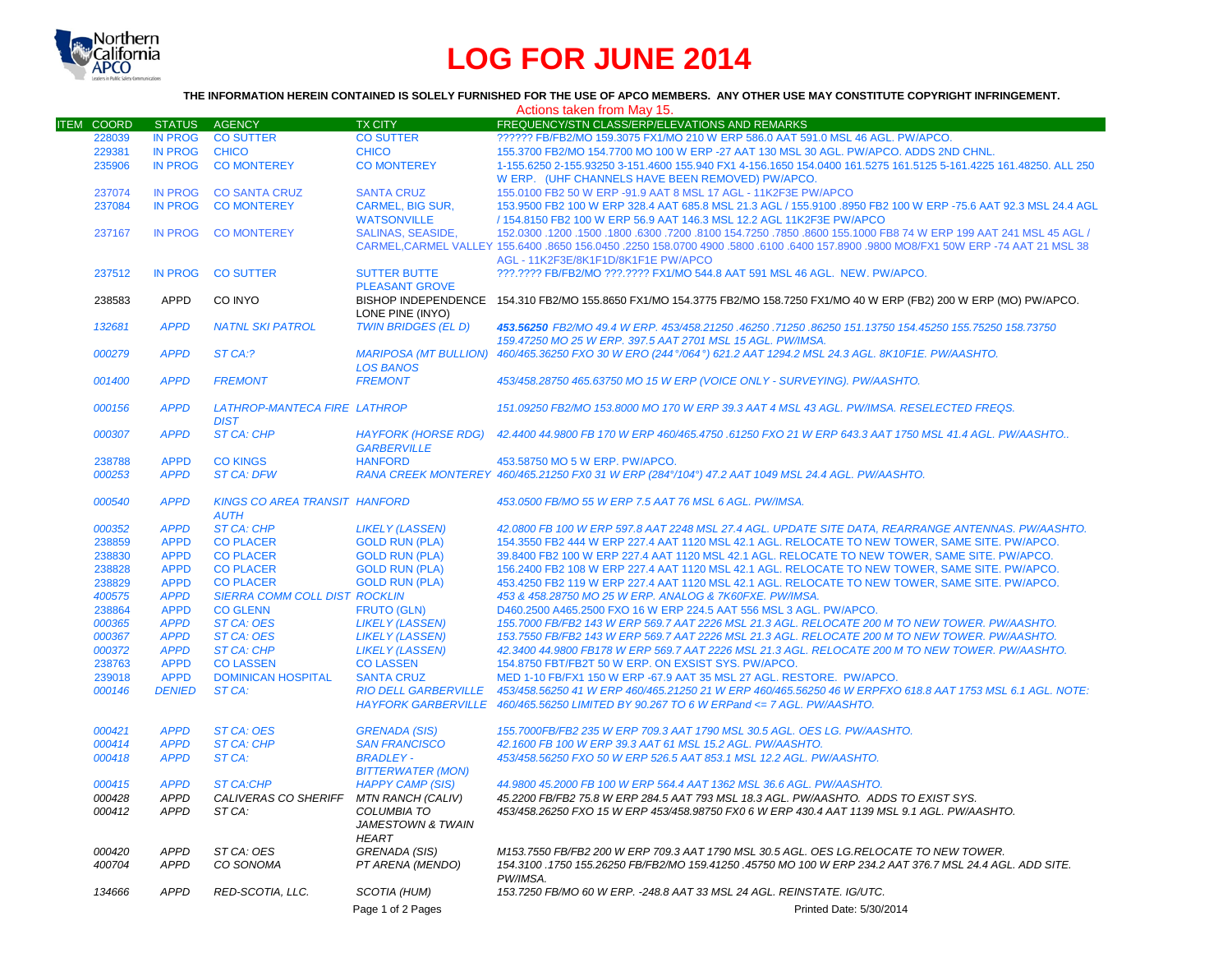

# **LOG FOR JUNE 2014**

## **THE INFORMATION HEREIN CONTAINED IS SOLELY FURNISHED FOR THE USE OF APCO MEMBERS. ANY OTHER USE MAY CONSTITUTE COPYRIGHT INFRINGEMENT.**

|                   |                |                                                     |                                                                    | Actions taken from May 15.                                                                                                                                                  |  |
|-------------------|----------------|-----------------------------------------------------|--------------------------------------------------------------------|-----------------------------------------------------------------------------------------------------------------------------------------------------------------------------|--|
| <b>ITEM COORD</b> | <b>STATUS</b>  | <b>AGENCY</b>                                       | <b>TX CITY</b>                                                     | FREQUENCY/STN CLASS/ERP/ELEVATIONS AND REMARKS                                                                                                                              |  |
| 228039            | <b>IN PROG</b> | <b>CO SUTTER</b>                                    | <b>CO SUTTER</b>                                                   | ?????? FB/FB2/MO 159.3075 FX1/MO 210 W ERP 586.0 AAT 591.0 MSL 46 AGL. PW/APCO.                                                                                             |  |
| 229381            | <b>IN PROG</b> | <b>CHICO</b>                                        | <b>CHICO</b>                                                       | 155.3700 FB2/MO 154.7700 MO 100 W ERP -27 AAT 130 MSL 30 AGL. PW/APCO. ADDS 2ND CHNL.                                                                                       |  |
| 235906            | <b>IN PROG</b> | <b>CO MONTEREY</b>                                  | <b>CO MONTEREY</b>                                                 | 1-155.6250 2-155.93250 3-151.4600 155.940 FX1 4-156.1650 154.0400 161.5275 161.5125 5-161.4225 161.48250. ALL 250<br>W ERP. (UHF CHANNELS HAVE BEEN REMOVED) PW/APCO.       |  |
| 237074            | <b>IN PROG</b> | <b>CO SANTA CRUZ</b>                                | <b>SANTA CRUZ</b>                                                  | 155.0100 FB2 50 W ERP -91.9 AAT 8 MSL 17 AGL - 11K2F3E PW/APCO                                                                                                              |  |
| 237084            | <b>IN PROG</b> | <b>CO MONTEREY</b>                                  | <b>CARMEL, BIG SUR,</b>                                            | 153.9500 FB2 100 W ERP 328.4 AAT 685.8 MSL 21.3 AGL / 155.9100 .8950 FB2 100 W ERP -75.6 AAT 92.3 MSL 24.4 AGL                                                              |  |
|                   |                |                                                     | <b>WATSONVILLE</b>                                                 | / 154.8150 FB2 100 W ERP 56.9 AAT 146.3 MSL 12.2 AGL 11K2F3E PW/APCO                                                                                                        |  |
| 237167            | <b>IN PROG</b> | <b>CO MONTEREY</b>                                  | <b>SALINAS, SEASIDE.</b>                                           | 150.0300 1500 1800 1800 17200 154.7250 .7850 .8600 155.1000 FB8 74 W ERP 199 AAT 241 MSL 45 AGL /                                                                           |  |
|                   |                |                                                     |                                                                    | CARMEL, CARMEL VALLEY 155.6400 .8650 156.0450 .2250 158.0700 4900 .5800 .6100 .6400 157.8900 .9800 MO8/FX1 50W ERP -74 AAT 21 MSL 38<br>AGL - 11K2F3E/8K1F1D/8K1F1E PW/APCO |  |
| 237512            | <b>IN PROG</b> | <b>CO SUTTER</b>                                    | <b>SUTTER BUTTE</b><br><b>PLEASANT GROVE</b>                       | ???.???? FB/FB2/MO ???.???? FX1/MO 544.8 AAT 591 MSL 46 AGL. NEW. PW/APCO.                                                                                                  |  |
| 238583            | <b>APPD</b>    | CO INYO                                             | LONE PINE (INYO)                                                   | BISHOP INDEPENDENCE 154.310 FB2/MO 155.8650 FX1/MO 154.3775 FB2/MO 158.7250 FX1/MO 40 W ERP (FB2) 200 W ERP (MO) PW/APCO.                                                   |  |
| 132681            | <b>APPD</b>    | <b>NATNL SKI PATROL</b>                             | <b>TWIN BRIDGES (EL D)</b>                                         | 453,56250 FB2/MO 49.4 W ERP. 453/458.21250 .46250 .71250 .86250 151.13750 154.45250 155.75250 158.73750<br>159.47250 MO 25 W ERP. 397.5 AAT 2701 MSL 15 AGL. PW/IMSA.       |  |
| 000279            | <b>APPD</b>    | ST CA:?                                             | <b>MARIPOSA (MT BULLION)</b><br><b>LOS BANOS</b>                   | 460/465.36250 FXO 30 W ERO (244°/064°) 621.2 AAT 1294.2 MSL 24.3 AGL. 8K10F1E. PW/AASHTO.                                                                                   |  |
| 001400            | <b>APPD</b>    | <b>FREMONT</b>                                      | <b>FREMONT</b>                                                     | 453/458.28750 465.63750 MO 15 W ERP (VOICE ONLY - SURVEYING). PW/AASHTO.                                                                                                    |  |
| 000156            | <b>APPD</b>    | <b>LATHROP-MANTECA FIRE LATHROP</b><br><b>DIST</b>  |                                                                    | 151.09250 FB2/MO 153.8000 MO 170 W ERP 39.3 AAT 4 MSL 43 AGL, PW/IMSA, RESELECTED FREQS.                                                                                    |  |
| 000307            | <b>APPD</b>    | <b>ST CA: CHP</b>                                   | <b>HAYFORK (HORSE RDG)</b><br><b>GARBERVILLE</b>                   | 42.4400 44.9800 FB 170 W ERP 460/465.4750 .61250 FXO 21 W ERP 643.3 AAT 1750 MSL 41.4 AGL. PW/AASHTO                                                                        |  |
| 238788            | <b>APPD</b>    | <b>CO KINGS</b>                                     | <b>HANFORD</b>                                                     | 453.58750 MO 5 W ERP. PW/APCO.                                                                                                                                              |  |
| 000253            | <b>APPD</b>    | <b>ST CA: DFW</b>                                   |                                                                    | RANA CREEK MONTEREY 460/465.21250 FX0 31 W ERP (284°/104°) 47.2 AAT 1049 MSL 24.4 AGL. PW/AASHTO.                                                                           |  |
| 000540            | <b>APPD</b>    | <b>KINGS CO AREA TRANSIT HANFORD</b><br><b>AUTH</b> |                                                                    | 453.0500 FB/MO 55 W ERP 7.5 AAT 76 MSL 6 AGL, PW/IMSA.                                                                                                                      |  |
| 000352            | <b>APPD</b>    | <b>ST CA: CHP</b>                                   | <b>LIKELY (LASSEN)</b>                                             | 42.0800 FB 100 W ERP 597.8 AAT 2248 MSL 27.4 AGL. UPDATE SITE DATA, REARRANGE ANTENNAS. PW/AASHTO.                                                                          |  |
| 238859            | <b>APPD</b>    | <b>CO PLACER</b>                                    | <b>GOLD RUN (PLA)</b>                                              | 154.3550 FB2 444 W ERP 227.4 AAT 1120 MSL 42.1 AGL, RELOCATE TO NEW TOWER, SAME SITE, PW/APCO,                                                                              |  |
| 238830            | <b>APPD</b>    | <b>CO PLACER</b>                                    | <b>GOLD RUN (PLA)</b>                                              | 39.8400 FB2 100 W ERP 227.4 AAT 1120 MSL 42.1 AGL. RELOCATE TO NEW TOWER, SAME SITE. PW/APCO.                                                                               |  |
| 238828            | <b>APPD</b>    | <b>CO PLACER</b>                                    | <b>GOLD RUN (PLA)</b>                                              | 156,2400 FB2 108 W ERP 227.4 AAT 1120 MSL 42.1 AGL, RELOCATE TO NEW TOWER, SAME SITE, PW/APCO,                                                                              |  |
| 238829            | <b>APPD</b>    | <b>CO PLACER</b>                                    | <b>GOLD RUN (PLA)</b>                                              | 453.4250 FB2 119 W ERP 227.4 AAT 1120 MSL 42.1 AGL, RELOCATE TO NEW TOWER, SAME SITE, PW/APCO,                                                                              |  |
| 400575            | <b>APPD</b>    | SIERRA COMM COLL DIST ROCKLIN                       |                                                                    | 453 & 458.28750 MO 25 W ERP. ANALOG & 7K60FXE. PW/IMSA.                                                                                                                     |  |
| 238864            | <b>APPD</b>    | <b>CO GLENN</b>                                     | <b>FRUTO (GLN)</b>                                                 | D460.2500 A465.2500 FXO 16 W ERP 224.5 AAT 556 MSL 3 AGL, PW/APCO.                                                                                                          |  |
| 000365            | <b>APPD</b>    | <b>ST CA: OES</b>                                   | <b>LIKELY (LASSEN)</b>                                             | 155.7000 FB/FB2 143 W ERP 569.7 AAT 2226 MSL 21.3 AGL. RELOCATE 200 M TO NEW TOWER. PW/AASHTO.                                                                              |  |
| 000367            | <b>APPD</b>    | <b>ST CA: OES</b>                                   | <b>LIKELY (LASSEN)</b>                                             | 153.7550 FB/FB2 143 W ERP 569.7 AAT 2226 MSL 21.3 AGL. RELOCATE 200 M TO NEW TOWER. PW/AASHTO.                                                                              |  |
| 000372            | <b>APPD</b>    | <b>ST CA: CHP</b>                                   | <b>LIKELY (LASSEN)</b>                                             | 42.3400 44.9800 FB178 W ERP 569.7 AAT 2226 MSL 21.3 AGL. RELOCATE 200 M TO NEW TOWER. PW/AASHTO.                                                                            |  |
| 238763            | <b>APPD</b>    | <b>CO LASSEN</b>                                    | <b>CO LASSEN</b>                                                   | 154,8750 FBT/FB2T 50 W ERP. ON EXSIST SYS. PW/APCO.                                                                                                                         |  |
| 239018            | <b>APPD</b>    | <b>DOMINICAN HOSPITAL</b>                           | <b>SANTA CRUZ</b>                                                  | MED 1-10 FB/FX1 150 W ERP -67.9 AAT 35 MSL 27 AGL, RESTORE, PW/APCO.                                                                                                        |  |
| 000146            | <b>DENIED</b>  | ST CA:                                              | <b>RIO DELL GARBERVILLE</b>                                        | 453/458.56250 41 W ERP 460/465.21250 21 W ERP 460/465.56250 46 W ERPFXO 618.8 AAT 1753 MSL 6.1 AGL. NOTE:                                                                   |  |
|                   |                |                                                     |                                                                    | HAYFORK GARBERVILLE 460/465.56250 LIMITED BY 90.267 TO 6 W ERPand <= 7 AGL. PW/AASHTO.                                                                                      |  |
| 000421            | <b>APPD</b>    | <b>ST CA: OES</b>                                   | <b>GRENADA (SIS)</b>                                               | 155.7000FB/FB2 235 W ERP 709.3 AAT 1790 MSL 30.5 AGL, OES LG, PW/AASHTO.                                                                                                    |  |
| 000414            | <b>APPD</b>    | <b>ST CA: CHP</b>                                   | <b>SAN FRANCISCO</b>                                               | 42.1600 FB 100 W ERP 39.3 AAT 61 MSL 15.2 AGL. PW/AASHTO.                                                                                                                   |  |
| 000418            | <b>APPD</b>    | ST CA:                                              | <b>BRADLEY-</b><br><b>BITTERWATER (MON)</b>                        | 453/458.56250 FXO 50 W ERP 526.5 AAT 853.1 MSL 12.2 AGL. PW/AASHTO.                                                                                                         |  |
| 000415            | <b>APPD</b>    | <b>ST CA:CHP</b>                                    | <b>HAPPY CAMP (SIS)</b>                                            | 44.9800 45.2000 FB 100 W ERP 564.4 AAT 1362 MSL 36.6 AGL. PW/AASHTO.                                                                                                        |  |
| 000428            | <b>APPD</b>    | CALIVERAS CO SHERIFF                                | MTN RANCH (CALIV)                                                  | 45.2200 FB/FB2 75.8 W ERP 284.5 AAT 793 MSL 18.3 AGL. PW/AASHTO. ADDS TO EXIST SYS.                                                                                         |  |
| 000412            | <b>APPD</b>    | ST CA:                                              | <b>COLUMBIA TO</b><br><b>JAMESTOWN &amp; TWAIN</b><br><b>HEART</b> | 453/458.26250 FXO 15 W ERP 453/458.98750 FX0 6 W ERP 430.4 AAT 1139 MSL 9.1 AGL. PW/AASHTO.                                                                                 |  |
| 000420            | <b>APPD</b>    | ST CA: OES                                          | <b>GRENADA (SIS)</b>                                               | M153.7550 FB/FB2 200 W ERP 709.3 AAT 1790 MSL 30.5 AGL. OES LG.RELOCATE TO NEW TOWER.                                                                                       |  |
| 400704            | <b>APPD</b>    | CO SONOMA                                           | PT ARENA (MENDO)                                                   | 154.3100 .1750 155.26250 FB/FB2/MO 159.41250 .45750 MO 100 W ERP 234.2 AAT 376.7 MSL 24.4 AGL. ADD SITE.<br>PW/IMSA.                                                        |  |
| 134666            | <b>APPD</b>    | RED-SCOTIA, LLC.                                    | <b>SCOTIA (HUM)</b>                                                | 153.7250 FB/MO 60 W ERP. - 248.8 AAT 33 MSL 24 AGL. REINSTATE. IG/UTC.                                                                                                      |  |
|                   |                |                                                     | Page 1 of 2 Pages                                                  | Printed Date: 5/30/2014                                                                                                                                                     |  |